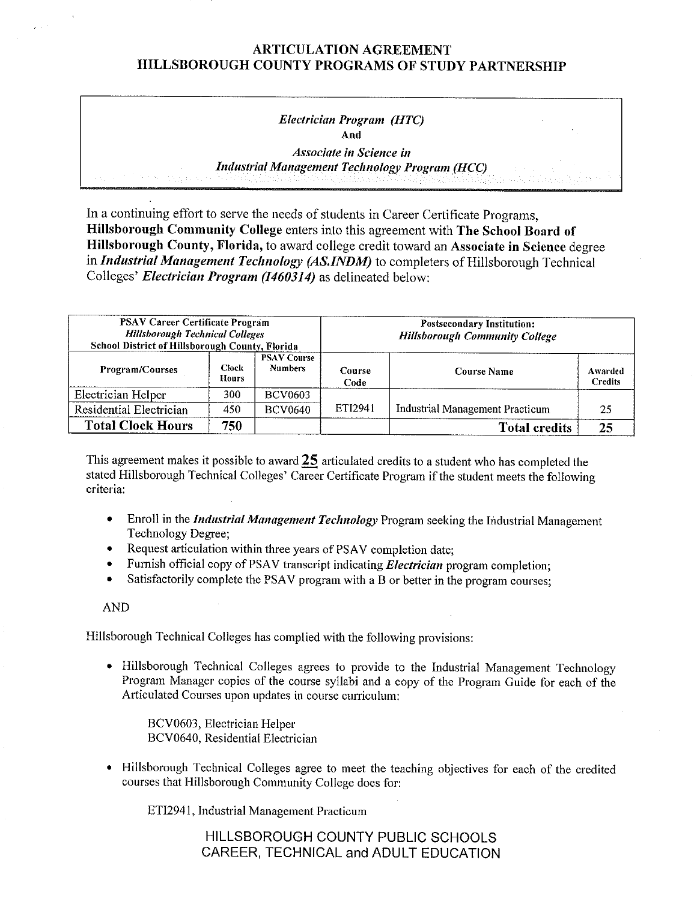## ARTICULATION AGREEMENT HILLSBOROUGH COUNTY PROGRAMS OF STUDY PARTNERSHIP

# *Electrician Program (HTC)*  **And**

*Associate in Science in Industrial Management Technology Program (HCC)* 

In a continuing effort to serve the needs of students in Career Certificate Programs, **Hillsborough Community College** enters into this agreement with **The School Board of Hillsborough County, Florida,** to award college credit toward an **Associate in Science** degree in *Industrial Management Technology (AS.INDM)* to completers of Hillsborough Technical Colleges' *Electrician Program (1460314)* as delineated below:

| <b>PSAV Career Certificate Program</b><br><b>Hillsborough Technical Colleges</b><br>School District of Hillsborough County, Florida |                |                                      | <b>Postsecondary Institution:</b><br><b>Hillsborough Community College</b> |                                 |                           |  |
|-------------------------------------------------------------------------------------------------------------------------------------|----------------|--------------------------------------|----------------------------------------------------------------------------|---------------------------------|---------------------------|--|
| Program/Courses                                                                                                                     | Ciock<br>Hours | <b>PSAV Course</b><br><b>Numbers</b> | Course<br>Code                                                             | <b>Course Name</b>              | Awarded<br><b>Credits</b> |  |
| Electrician Helper                                                                                                                  | 300            | <b>BCV0603</b>                       |                                                                            |                                 |                           |  |
| Residential Electrician                                                                                                             | 450            | <b>BCV0640</b>                       | ETI2941                                                                    | Industrial Management Practicum | 25                        |  |
| <b>Total Clock Hours</b>                                                                                                            | 750            |                                      |                                                                            | <b>Total credits</b>            | 25                        |  |

This agreement makes it possible to award **25** articulated credits to a student who has completed the stated Hillsborough Technical Colleges' Career Certificate Program if the student meets the following criteria:

- Enroll in the *Industrial Management Technology* Program seeking the Industrial Management Technology Degree;
- Request articulation within three years of PSAV completion date;
- Furnish official copy of PSA V transcript indicating *Electrician* program completion;
- Satisfactorily complete the PSAV program with a B or better in the program courses:

AND

Hillsborough Technical Colleges has complied with the following provisions:

• Hillsborough Technical Colleges agrees to provide to the Industrial Management Technology Program Manager copies of the course syllabi and a copy of the Program Guide for each of the Articulated Courses upon updates in course curriculum:

BCV0603, Electrician Helper BCV0640, Residential Electrician

• Hillsborough Technical Colleges agree to meet the teaching objectives for each of the credited courses that Hillsborough Community College does for:

ETI294 l, Industrial Management Practicum

HILLSBOROUGH COUNTY PUBLIC SCHOOLS CAREER, TECHNICAL and ADULT EDUCATION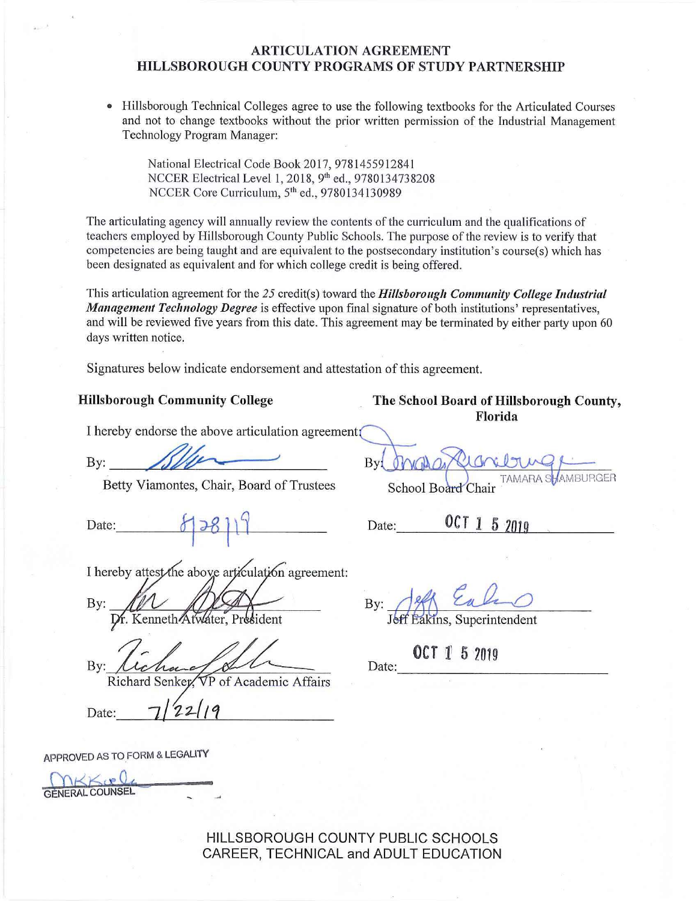## **ARTICULATION AGREEMENT HILLSBOROUGH COUNTY PROGRAMS OF STUDY PARTNERSHIP**

• Hillsborough Technical Colleges agree to use the following textbooks for the Articulated Courses and not to change textbooks without the prior written permission of the Industrial Management Technology Program Manager:

National Electrical Code Book 2017, 9781455912841 NCCER Electrical Level 1, 2018, 9th ed., 9780134738208 NCCER Core Curriculum, 5<sup>th</sup> ed., 9780134130989

The articulating agency will annually review the contents of the curriculum and the qualifications of teachers employed by Hillsborough County Public Schools. The purpose of the review is to verify that competencies are being taught and are equivalent to the postsecondary institution's course(s) which has been designated as equivalent and for which college credit is being offered.

This articulation agreement for the *25* credit(s) toward the *Hillsborough Community College Industrial Management Teclmology Degree* is effective upon final signature of both institutions' representatives, and will be reviewed five years from this date. This agreement may be terminated by either party upon 60 days written notice.

Signatures below indicate endorsement and attestation of this agreement.

#### **Hillsborough Community College The School Board of Hillsborough County,**

I hereby endorse the above articulation agreement

By: Allen

Betty Viamontes, Chair, Board of Trustees School Board Chair

Date:\_\_~ -t-=-~ ~1-t-t- )\_j \_ \_ Date:\_\_[\\_O\\_C\\_T---=1\\_5~2DL.J..19.](https://O_C_T---=1_5~2DL.J..19),\_ \_ \_\_\_\_

I hereby attest the above articulation agreement:

By:

Dr. Kenneth Atwater, President

 $Bv$ :

Richard Senkey, VP of Academic Arians<br>Date: 7/22/19

APPROVED AS TO FORM & LEGALITY

 $NKKveV$ **GENERAL COUNSEL** 

HILLSBOROUGH COUNTY PUBLIC SCHOOLS CAREER, TECHNICAL and ADULT EDUCATION

By

**Florida** 

 $Bv$ 

Jeff Eakins, Superintendent

**OCT 1 5 2019** Date: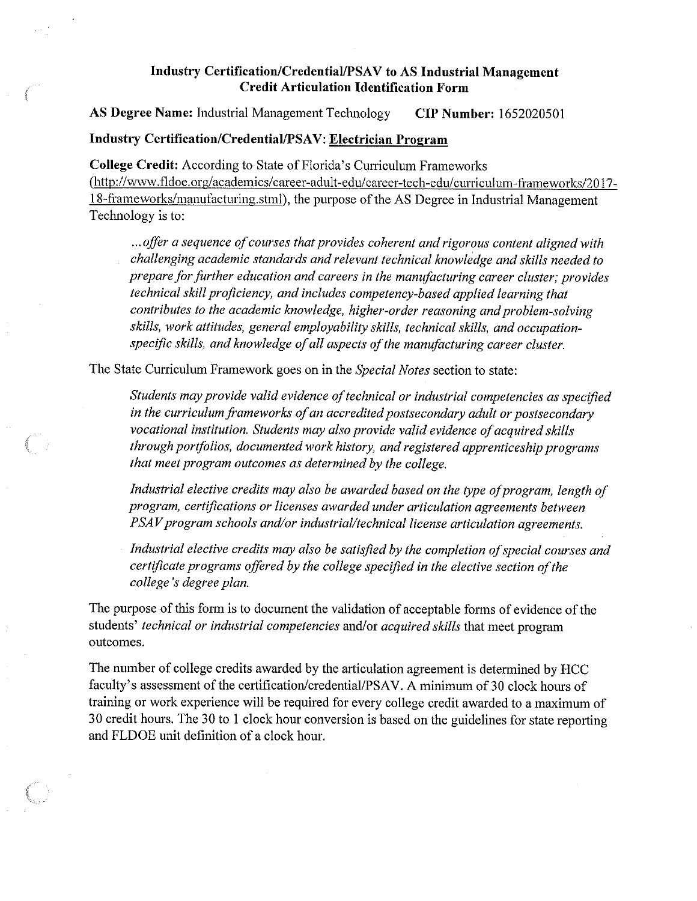# Industry Certification/Credential/PSAV to AS Industrial Management **Credit Articulation Identification Form**

**AS Degree Name:** Industrial Management Technology **CIP Number:** 1652020501

## **Industry Certification/CredentiaI/PSA V: Electrician Program**

**College Credit:** According to State of Florida's Curriculum Frameworks [\(http://www](http://www). fldoe. org/ academics/ career-adult-edu/ career-tech-edu/ curriculum-frameworks/2017- 18-frameworks/manufacturing. stml ), the purpose of the AS Degree in Industrial Management Technology is to:

... *offer a sequence of courses that provides coherent and rigorous content aligned with challenging academic standards and relevant technical knowledge and skills needed to prepare for further education and careers in the manufacturing career cluster; provides technical skill proficiency, and includes competency-based applied learning that contributes to the academic knowledge, higher-order reasoning and problem-solving skills, work attitudes, general employability skills, technical skills, and occupation*specific skills, and knowledge of all aspects of the manufacturing career cluster.

The State Curriculum Framework goes on in the *Special Notes* section to state:

*Students may provide valid evidence oftechnical or industrial competencies as specified*  in the curriculum frameworks of an accredited postsecondary adult or postsecondary vocational institution. Students may also provide valid evidence of acquired skills *through portfolios, documented work history, and registered apprenticeship programs that meet program outcomes as determined by the college.* 

*Industrial elective credits may also be awarded based on the type of program, length of program, certifications or licenses awarded under articulation agreements between PSAV program schools and/or industrial/technical license articulation agreements.* 

Industrial elective credits may also be satisfied by the completion of special courses and *certificate programs offered by the college specified in the elective section ofthe college's degree plan.* 

The purpose of this form is to document the validation of acceptable forms of evidence of the students' *technical or industrial competencies* and/or *acquired skills* that meet program outcomes.

The number of college credits awarded by the articulation agreement is determined by HCC faculty's assessment of the certification/credential/PSAV. A minimum of 30 clock hours of training or work experience will be required for every college credit awarded to a maximum of 30 credit hours. The 30 to I clock hour conversion is based on the guidelines for state reporting and FLDOE unit definition of a clock hour.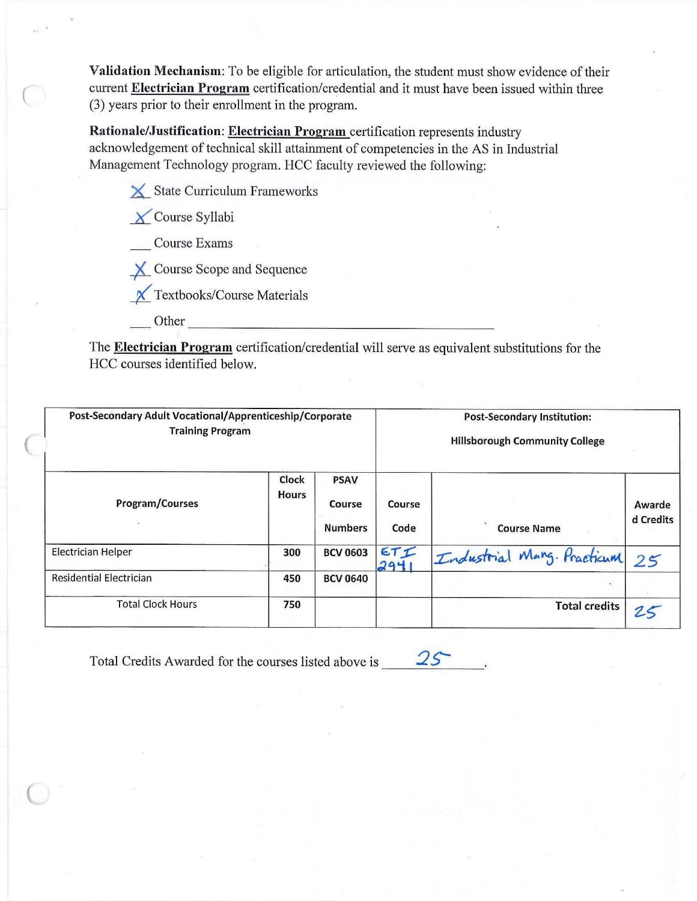Validation Mechanism: To be eligible for articulation, the student must show evidence of their current Electrician Program certification/credential and it must have been issued within three (3) years prior to their enrollment in the program.

Rationale/Justification: Electrician Program certification represents industry acknowledgement of technical skill attainment of competencies in the AS in Industrial Management Technology program. HCC faculty reviewed the following:

 $\angle$  State Curriculum Frameworks

X Course Syllabi

**Course Exams** 

X Course Scope and Sequence

X Textbooks/Course Materials

Other

The Electrician Program certification/credential will serve as equivalent substitutions for the HCC courses identified below.

| Post-Secondary Adult Vocational/Apprenticeship/Corporate<br><b>Training Program</b> |                       |                                         |                | <b>Post-Secondary Institution:</b><br><b>Hillsborough Community College</b> |                     |  |
|-------------------------------------------------------------------------------------|-----------------------|-----------------------------------------|----------------|-----------------------------------------------------------------------------|---------------------|--|
| Program/Courses                                                                     | Clock<br><b>Hours</b> | <b>PSAV</b><br>Course<br><b>Numbers</b> | Course<br>Code | <b>Course Name</b>                                                          | Awarde<br>d Credits |  |
| Electrician Helper                                                                  | 300                   | <b>BCV 0603</b>                         | ETI<br>294     | Industrial Mang. Practicum                                                  | 25                  |  |
| <b>Residential Electrician</b>                                                      | 450                   | <b>BCV 0640</b>                         |                | $\bullet$                                                                   |                     |  |
| <b>Total Clock Hours</b>                                                            | 750                   |                                         |                | <b>Total credits</b>                                                        |                     |  |

 $25$ Total Credits Awarded for the courses listed above is